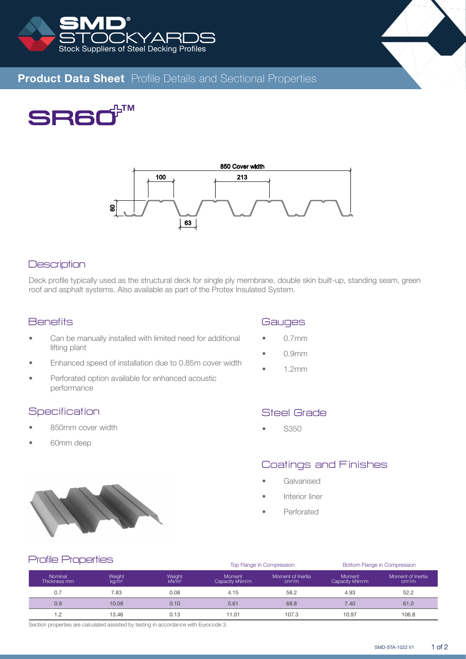



# **Product Data Sheet** Profile Details and Sectional Properties





#### **Description**

Deck profile typically used as the structural deck for single ply membrane, double skin built-up, standing seam, green roof and asphalt systems. Also available as part of the Protex Insulated System.

#### **Benefits**

- Can be manually installed with limited need for additional lifting plant
- Enhanced speed of installation due to 0.85m cover width
- Perforated option available for enhanced acoustic performance

#### **Specification**

- 850mm cover width
- 60mm deep



- 0.7mm
- 0.9mm
- 1.2mm

## Steel Grade

• S350

# Coatings and Finishes

- **Galvanised**
- Interior liner
- **Perforated**



#### Profile Properties

|                         |                             |                             |                                 | Top Flange in Compression               | Bottom Flange in Compression |                                         |  |  |  |  |
|-------------------------|-----------------------------|-----------------------------|---------------------------------|-----------------------------------------|------------------------------|-----------------------------------------|--|--|--|--|
| Nominal<br>Thickness mm | Weight<br>ka/m <sup>2</sup> | Weight<br>kN/m <sup>2</sup> | <b>Moment</b><br>Capacity kNm/m | Moment of Inertia<br>cm <sup>4</sup> /m | Moment<br>Capacity kNm/m     | Moment of Inertia<br>cm <sup>4</sup> /m |  |  |  |  |
| 0.7                     | 7.83                        | 0.08                        | 4.15                            | 58.2                                    | 4.93                         | 52.2                                    |  |  |  |  |
| 0.9                     | 10.08                       | 0.10                        | 5.61                            | 68.8                                    | 7.40                         | 61.0                                    |  |  |  |  |
|                         | 13.46                       | 0.13                        | 11.01                           | 107.3                                   | 10.97                        | 106.8                                   |  |  |  |  |

Section properties are calculated assisted by testing in accordance with Eurocode 3.